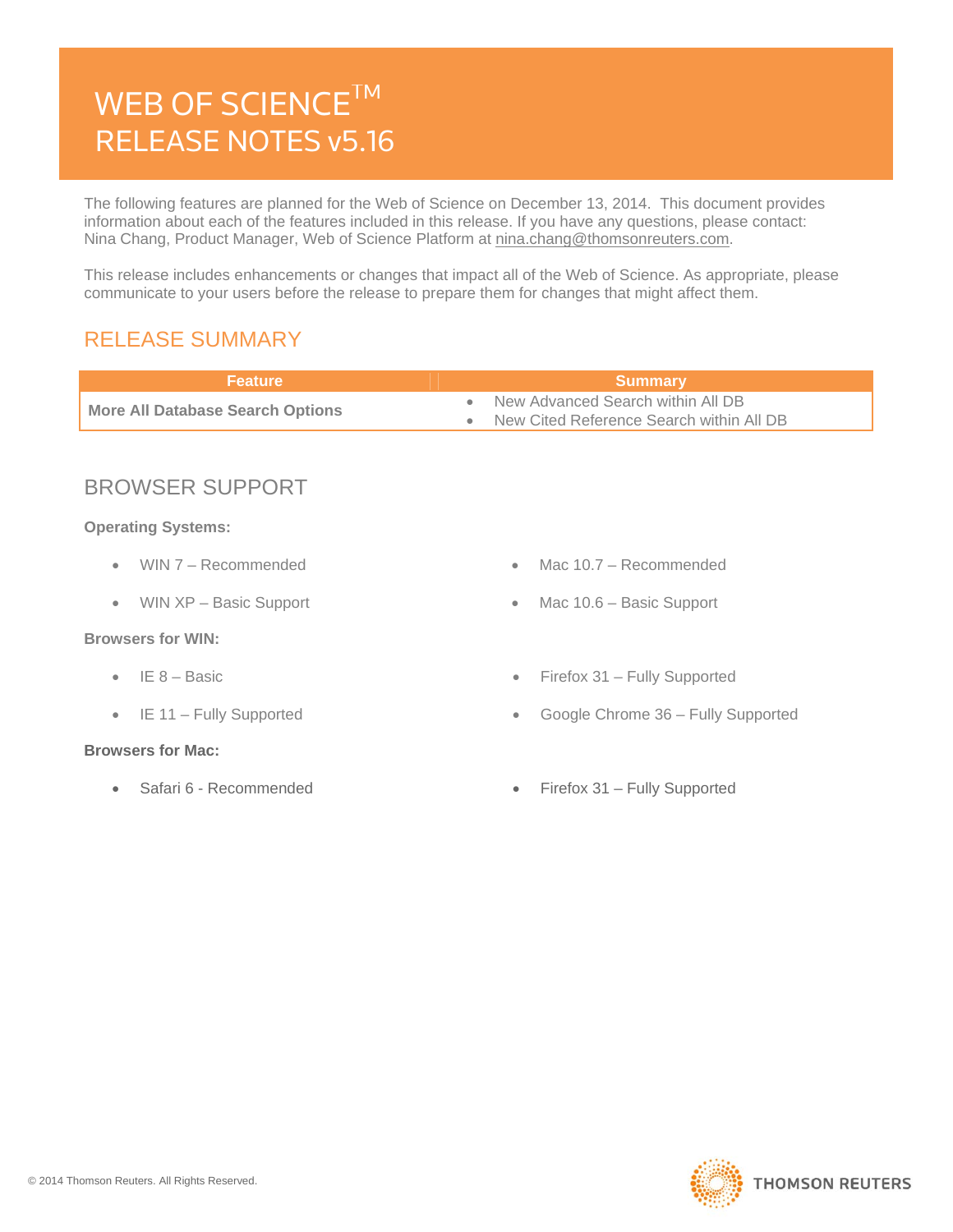# WEB OF SCIENCE<sup>TM</sup> RELEASE NOTES v5.16

The following features are planned for the Web of Science on December 13, 2014. This document provides information about each of the features included in this release. If you have any questions, please contact: Nina Chang, Product Manager, Web of Science Platform at nina.chang@thomsonreuters.com.

This release includes enhancements or changes that impact all of the Web of Science. As appropriate, please communicate to your users before the release to prepare them for changes that might affect them.

### RELEASE SUMMARY

| <b>Feature</b>                          | <b>Summary</b>                                                                                                |
|-----------------------------------------|---------------------------------------------------------------------------------------------------------------|
| <b>More All Database Search Options</b> | New Advanced Search within All DB<br>$\qquad \qquad \bullet$<br>New Cited Reference Search within All DB<br>۰ |
|                                         |                                                                                                               |
| <b>BROWSER SUPPORT</b>                  |                                                                                                               |
| <b>Operating Systems:</b>               |                                                                                                               |
| WIN 7 - Recommended<br>$\bullet$        | Mac $10.7 - Recommended$<br>$\qquad \qquad \blacksquare$                                                      |
| WIN XP - Basic Support<br>$\bullet$     | Mac 10.6 - Basic Support<br>$\bullet$                                                                         |
| <b>Browsers for WIN:</b>                |                                                                                                               |
| IE 8 – Basic<br>$\bullet$               | Firefox 31 - Fully Supported<br>$\bullet$                                                                     |
| IE 11 - Fully Supported<br>$\bullet$    | Google Chrome 36 - Fully Supported<br>$\bullet$                                                               |
| <b>Browsers for Mac:</b>                |                                                                                                               |
| Safari 6 - Recommended<br>۰             | Firefox 31 – Fully Supported<br>$\bullet$                                                                     |
|                                         |                                                                                                               |

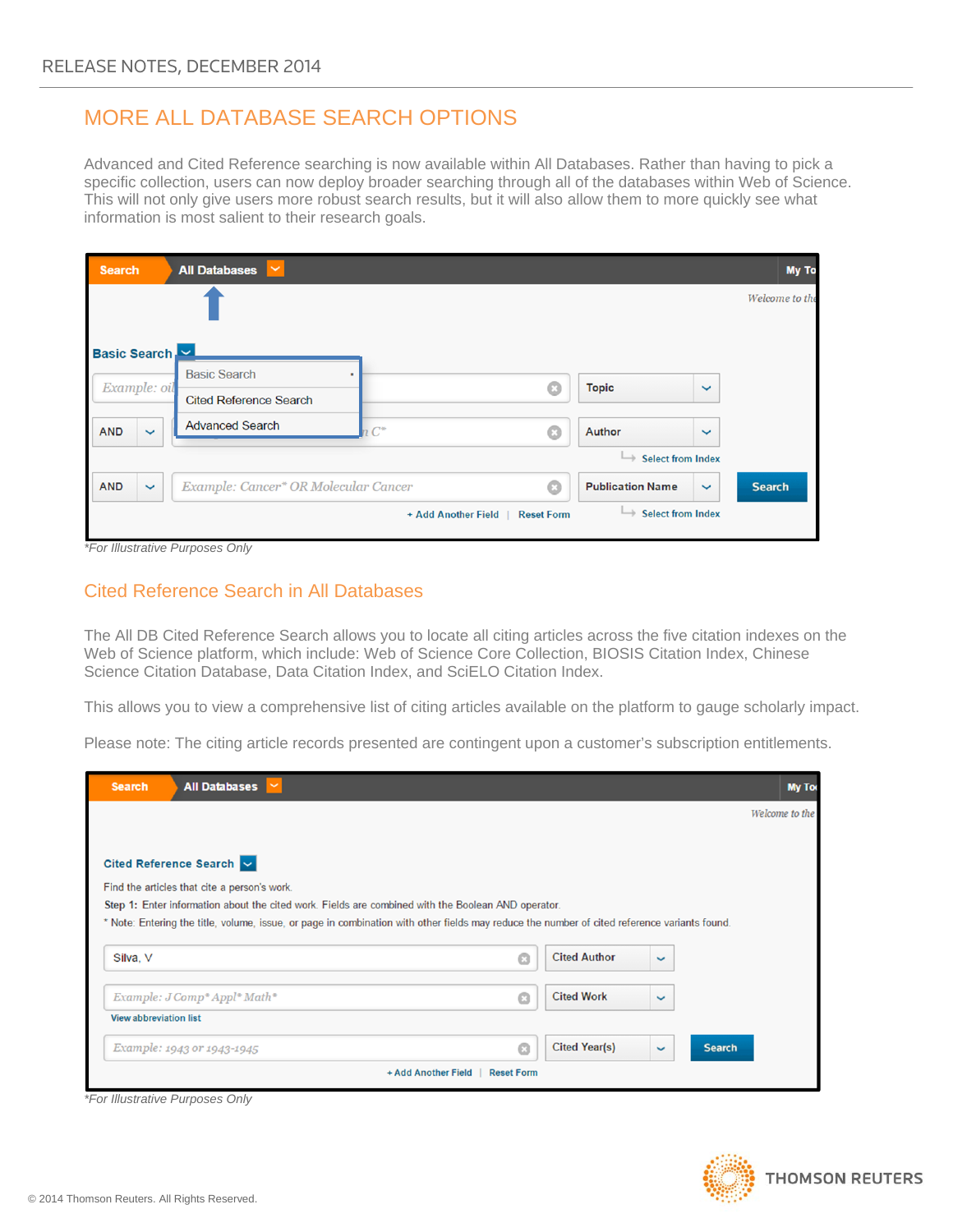## MORE ALL DATABASE SEARCH OPTIONS

Advanced and Cited Reference searching is now available within All Databases. Rather than having to pick a specific collection, users can now deploy broader searching through all of the databases within Web of Science. This will not only give users more robust search results, but it will also allow them to more quickly see what information is most salient to their research goals.

| <b>Search</b>              | <b>All Databases</b><br>$\checkmark$ |                                          |                                 |              | <b>My To</b>   |
|----------------------------|--------------------------------------|------------------------------------------|---------------------------------|--------------|----------------|
|                            |                                      |                                          |                                 |              | Welcome to the |
| Basic Search               |                                      |                                          |                                 |              |                |
| Example: oil               | <b>Basic Search</b>                  | $\mathbb{C}$                             | <b>Topic</b>                    | $\checkmark$ |                |
|                            | <b>Cited Reference Search</b>        |                                          |                                 |              |                |
| $\ddotmark$<br><b>AND</b>  | <b>Advanced Search</b>               | $C^*$<br>$\mathbb{C}$                    | Author                          | $\checkmark$ |                |
|                            |                                      |                                          | <b>Select from Index</b><br>└   |              |                |
| <b>AND</b><br>$\checkmark$ | Example: Cancer* OR Molecular Cancer | $\odot$                                  | <b>Publication Name</b>         | $\checkmark$ | <b>Search</b>  |
|                            |                                      | + Add Another Field<br><b>Reset Form</b> | $\rightarrow$ Select from Index |              |                |

*\*For Illustrative Purposes Only* 

#### Cited Reference Search in All Databases

The All DB Cited Reference Search allows you to locate all citing articles across the five citation indexes on the Web of Science platform, which include: Web of Science Core Collection, BIOSIS Citation Index, Chinese Science Citation Database, Data Citation Index, and SciELO Citation Index.

This allows you to view a comprehensive list of citing articles available on the platform to gauge scholarly impact.

Please note: The citing article records presented are contingent upon a customer's subscription entitlements.

| <b>Search</b>                 | <b>All Databases</b>                                                                                                                         | <b>My Too</b>  |  |  |  |  |
|-------------------------------|----------------------------------------------------------------------------------------------------------------------------------------------|----------------|--|--|--|--|
|                               |                                                                                                                                              | Welcome to the |  |  |  |  |
|                               |                                                                                                                                              |                |  |  |  |  |
|                               | Cited Reference Search $\sim$                                                                                                                |                |  |  |  |  |
|                               | Find the articles that cite a person's work.                                                                                                 |                |  |  |  |  |
|                               | Step 1: Enter information about the cited work. Fields are combined with the Boolean AND operator.                                           |                |  |  |  |  |
|                               | * Note: Entering the title, volume, issue, or page in combination with other fields may reduce the number of cited reference variants found. |                |  |  |  |  |
| Silva, V                      | <b>Cited Author</b><br>$\odot$<br>$\checkmark$                                                                                               |                |  |  |  |  |
|                               | <b>Cited Work</b><br>Example: J Comp* Appl* Math*<br>G<br>$\checkmark$                                                                       |                |  |  |  |  |
| <b>View abbreviation list</b> |                                                                                                                                              |                |  |  |  |  |
|                               | <b>Cited Year(s)</b><br>Q<br><b>Search</b><br>Example: 1943 or 1943-1945<br>$\checkmark$                                                     |                |  |  |  |  |
|                               | + Add Another Field<br><b>Reset Form</b>                                                                                                     |                |  |  |  |  |

*\*For Illustrative Purposes Only* 

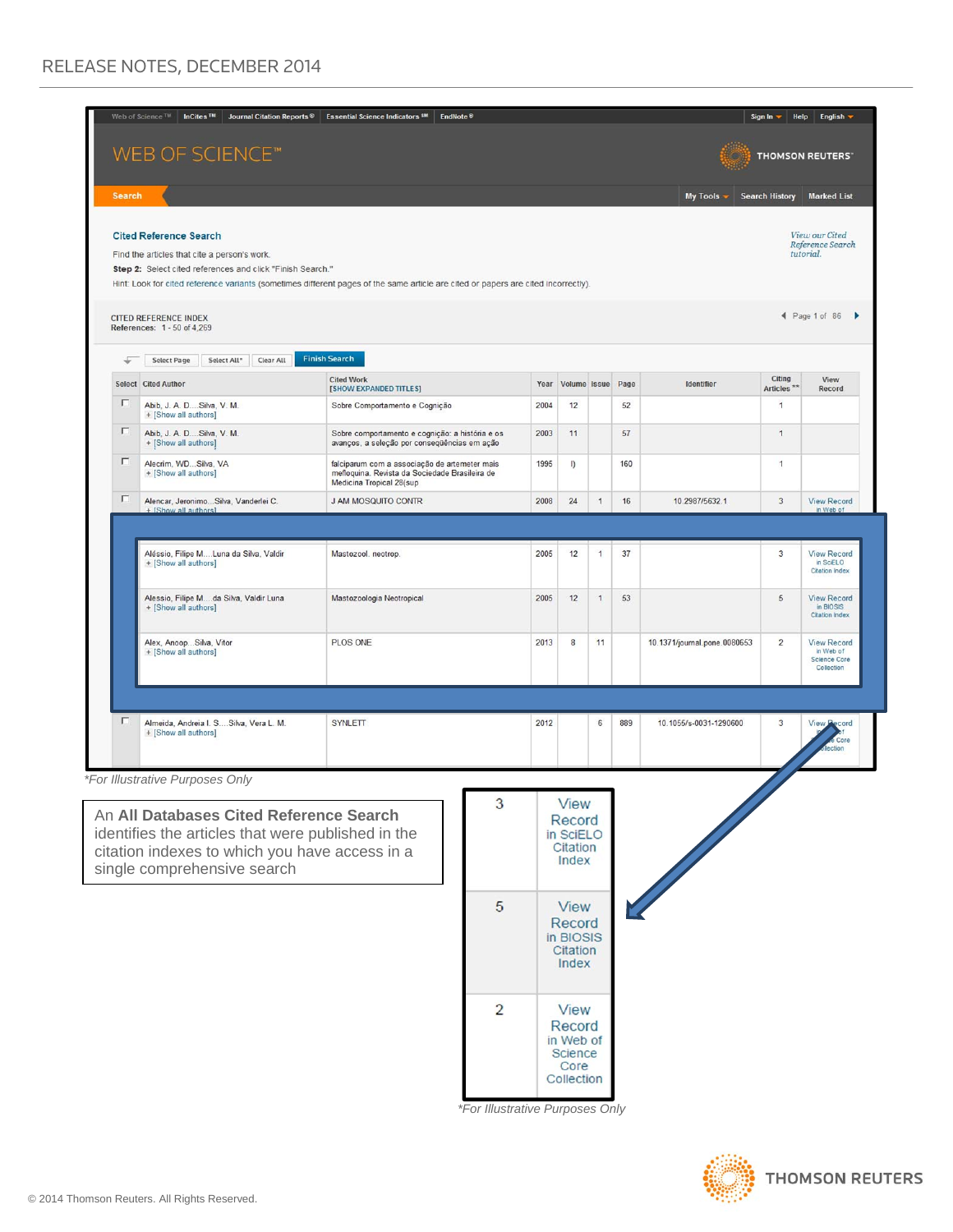|                                                                                                      | Web of Science <sup>TM</sup><br>Journal Citation Reports <sup>®</sup><br><b>InCites</b> ™ | <b>Essential Science Indicators SM</b><br>EndNote <sup>®</sup>                                                                     |      |                       |              |     |                              | Sign In                          | English<br>Help                                               |
|------------------------------------------------------------------------------------------------------|-------------------------------------------------------------------------------------------|------------------------------------------------------------------------------------------------------------------------------------|------|-----------------------|--------------|-----|------------------------------|----------------------------------|---------------------------------------------------------------|
|                                                                                                      | WEB OF SCIENCE™                                                                           |                                                                                                                                    |      |                       |              |     |                              |                                  | <b>THOMSON REUTERS</b>                                        |
| <b>Search</b>                                                                                        |                                                                                           |                                                                                                                                    |      |                       |              |     | <b>My Tools</b>              | <b>Search History</b>            | <b>Marked List</b>                                            |
|                                                                                                      | <b>Cited Reference Search</b>                                                             |                                                                                                                                    |      |                       |              |     |                              |                                  | View our Cited                                                |
|                                                                                                      | Find the articles that cite a person's work.                                              |                                                                                                                                    |      |                       |              |     |                              |                                  | Reference Search<br>tutorial.                                 |
|                                                                                                      | Step 2: Select cited references and click "Finish Search."                                | Hint: Look for cited reference variants (sometimes different pages of the same article are cited or papers are cited incorrectly). |      |                       |              |     |                              |                                  |                                                               |
|                                                                                                      | <b>CITED REFERENCE INDEX</b><br>References: 1 - 50 of 4,269                               |                                                                                                                                    |      |                       |              |     |                              |                                  | ◀ Page 1 of 86                                                |
|                                                                                                      | Clear All<br><b>Select Page</b><br>Select All*                                            | <b>Finish Search</b>                                                                                                               |      |                       |              |     |                              |                                  |                                                               |
|                                                                                                      | Select Cited Author                                                                       | <b>Cited Work</b><br>[SHOW EXPANDED TITLES]                                                                                        | Year | Volume Issue Page     |              |     | <b>Identifier</b>            | Citing<br>Articles <sup>**</sup> | View<br>Record                                                |
| п                                                                                                    | Abib, J. A. DSilva, V. M.<br>+ [Show all authors]                                         | Sobre Comportamento e Cognição                                                                                                     | 2004 | 12                    |              | 52  |                              | $\mathbf{1}$                     |                                                               |
| п                                                                                                    | Abib, J. A. DSilva, V. M.<br>+ [Show all authors]                                         | Sobre comportamento e cognição: a história e os<br>avanços, a seleção por consequências em ação                                    | 2003 | 11                    |              | 57  |                              | $\mathbf{1}$                     |                                                               |
| п                                                                                                    | Alecrim, WDSilva, VA<br>+ [Show all authors]                                              | falciparum com a associação de artemeter mais<br>mefloquina. Revista da Sociedade Brasileira de<br>Medicina Tropical 28(sup        | 1995 | I)                    |              | 160 |                              | $\mathbf{1}$                     |                                                               |
| п                                                                                                    | Alencar, Jeronimo Silva, Vanderlei C.<br>+ [Show all authors]                             | J AM MOSQUITO CONTR                                                                                                                | 2008 | 24                    | $\mathbf{1}$ | 16  | 10.2987/5632.1               | 3                                | <b>View Record</b><br>in Web of                               |
|                                                                                                      |                                                                                           |                                                                                                                                    |      |                       |              |     |                              |                                  |                                                               |
|                                                                                                      | Aléssio, Filipe MLuna da Silva, Valdir<br>+ [Show all authors]                            | Mastozool. neotrop.                                                                                                                | 2005 | 12                    | 1            | 37  |                              | 3                                | <b>View Record</b><br>in SciELO<br><b>Citation Index</b>      |
|                                                                                                      | Alessio, Filipe Mda Silva, Valdir Luna<br>+ [Show all authors]                            | Mastozoologia Neotropical                                                                                                          | 2005 | 12                    | $\mathbf{1}$ | 53  |                              | 5                                | <b>View Record</b><br>in BIOSIS<br><b>Citation Index</b>      |
|                                                                                                      | Alex, AnoopSilva, Vitor<br>+ [Show all authors]                                           | PLOS ONE                                                                                                                           | 2013 | 8                     | 11           |     | 10.1371/journal.pone.0080653 | $\overline{c}$                   | <b>View Record</b><br>in Web of<br>Science Core<br>Collection |
|                                                                                                      |                                                                                           |                                                                                                                                    |      |                       |              |     |                              |                                  |                                                               |
| г                                                                                                    | Almeida, Andreia I. SSilva, Vera L. M.                                                    | <b>SYNLETT</b>                                                                                                                     | 2012 |                       | 6            | 889 | 10.1055/s-0031-1290600       | $\overline{3}$                   | <b>View Pecord</b>                                            |
|                                                                                                      | + [Show all authors]                                                                      |                                                                                                                                    |      |                       |              |     |                              |                                  | Core<br>ection                                                |
|                                                                                                      | *For Illustrative Purposes Only                                                           |                                                                                                                                    |      |                       |              |     |                              |                                  |                                                               |
|                                                                                                      |                                                                                           | 3                                                                                                                                  |      | View                  |              |     |                              |                                  |                                                               |
|                                                                                                      | An All Databases Cited Reference Search                                                   |                                                                                                                                    |      | Record                |              |     |                              |                                  |                                                               |
| identifies the articles that were published in the<br>citation indexes to which you have access in a |                                                                                           |                                                                                                                                    |      | in SciELO<br>Citation |              |     |                              |                                  |                                                               |
|                                                                                                      | single comprehensive search                                                               |                                                                                                                                    |      | Index                 |              |     |                              |                                  |                                                               |
|                                                                                                      |                                                                                           | 5                                                                                                                                  |      | <b>View</b>           |              |     |                              |                                  |                                                               |
|                                                                                                      |                                                                                           |                                                                                                                                    |      | Record                |              |     |                              |                                  |                                                               |
|                                                                                                      |                                                                                           |                                                                                                                                    |      | in BIOSIS<br>Citation |              |     |                              |                                  |                                                               |
|                                                                                                      |                                                                                           |                                                                                                                                    |      | Index                 |              |     |                              |                                  |                                                               |
|                                                                                                      |                                                                                           |                                                                                                                                    |      |                       |              |     |                              |                                  |                                                               |
|                                                                                                      |                                                                                           | $\overline{2}$                                                                                                                     |      | View                  |              |     |                              |                                  |                                                               |
|                                                                                                      |                                                                                           |                                                                                                                                    |      | Record<br>in Web of   |              |     |                              |                                  |                                                               |
|                                                                                                      |                                                                                           |                                                                                                                                    |      | Science               |              |     |                              |                                  |                                                               |
|                                                                                                      |                                                                                           |                                                                                                                                    |      | Core<br>Collection    |              |     |                              |                                  |                                                               |

 *\*For Illustrative Purposes Only*